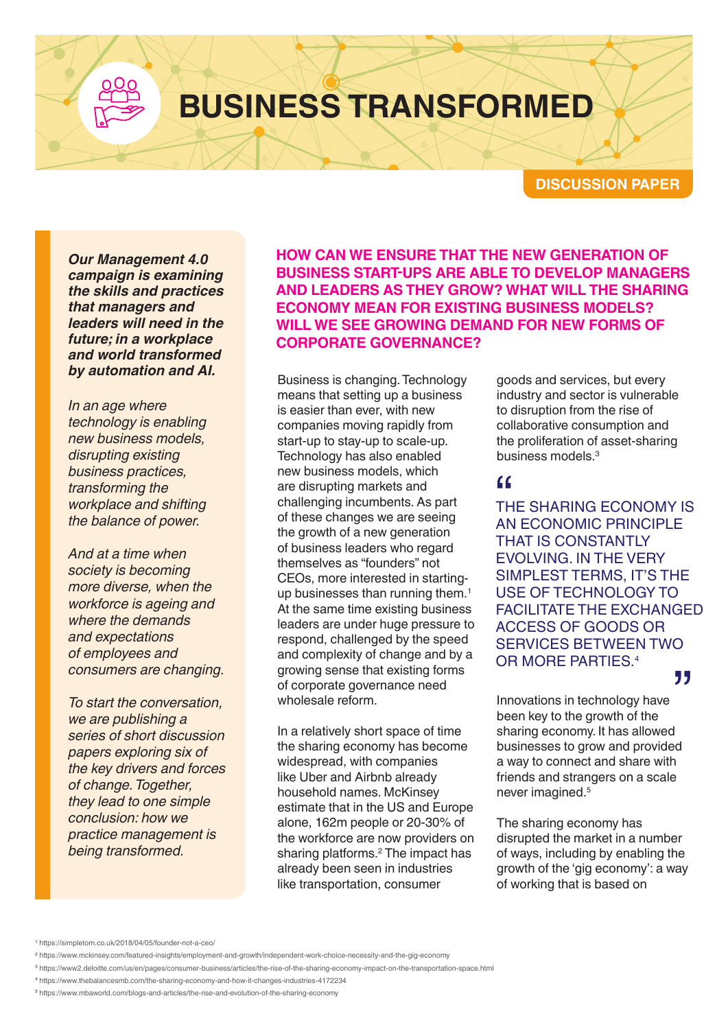# **BUSINESS TRANSFORMED**

**DISCUSSION PAPER**

*Our Management 4.0 campaign is examining the skills and practices that managers and leaders will need in the future; in a workplace and world transformed by automation and AI.*

*In an age where technology is enabling new business models, disrupting existing business practices, transforming the workplace and shifting the balance of power.*

*And at a time when society is becoming more diverse, when the workforce is ageing and where the demands and expectations of employees and consumers are changing.*

*To start the conversation, we are publishing a series of short discussion papers exploring six of the key drivers and forces of change. Together, they lead to one simple conclusion: how we practice management is being transformed.*

**HOW CAN WE ENSURE THAT THE NEW GENERATION OF BUSINESS START-UPS ARE ABLE TO DEVELOP MANAGERS AND LEADERS AS THEY GROW? WHAT WILL THE SHARING ECONOMY MEAN FOR EXISTING BUSINESS MODELS? WILL WE SEE GROWING DEMAND FOR NEW FORMS OF CORPORATE GOVERNANCE?**

Business is changing. Technology means that setting up a business is easier than ever, with new companies moving rapidly from start-up to stay-up to scale-up. Technology has also enabled new business models, which are disrupting markets and challenging incumbents. As part of these changes we are seeing the growth of a new generation of business leaders who regard themselves as "founders" not CEOs, more interested in startingup businesses than running them.<sup>1</sup> At the same time existing business leaders are under huge pressure to respond, challenged by the speed and complexity of change and by a growing sense that existing forms of corporate governance need wholesale reform.

In a relatively short space of time the sharing economy has become widespread, with companies like Uber and Airbnb already household names. McKinsey estimate that in the US and Europe alone, 162m people or 20-30% of the workforce are now providers on sharing platforms.2 The impact has already been seen in industries like transportation, consumer

goods and services, but every industry and sector is vulnerable to disruption from the rise of collaborative consumption and the proliferation of asset-sharing business models.3

"<br>TH<br>AN THE SHARING ECONOMY IS AN ECONOMIC PRINCIPLE THAT IS CONSTANTLY EVOLVING. IN THE VERY SIMPLEST TERMS, IT'S THE USE OF TECHNOLOGY TO FACILITATE THE EXCHANGED ACCESS OF GOODS OR SERVICES BETWEEN TWO OR MORE PARTIES.4

### "

Innovations in technology have been key to the growth of the sharing economy. It has allowed businesses to grow and provided a way to connect and share with friends and strangers on a scale never imagined.5

The sharing economy has disrupted the market in a number of ways, including by enabling the growth of the 'gig economy': a way of working that is based on

<sup>1</sup> https://simpletom.co.uk/2018/04/05/founder-not-a-ceo/

<sup>2</sup> https://www.mckinsey.com/featured-insights/employment-and-growth/independent-work-choice-necessity-and-the-gig-economy

<sup>3</sup> https://www2.deloitte.com/us/en/pages/consumer-business/articles/the-rise-of-the-sharing-economy-impact-on-the-transportation-space.html

<sup>4</sup> https://www.thebalancesmb.com/the-sharing-economy-and-how-it-changes-industries-4172234

<sup>5</sup> https://www.mbaworld.com/blogs-and-articles/the-rise-and-evolution-of-the-sharing-economy